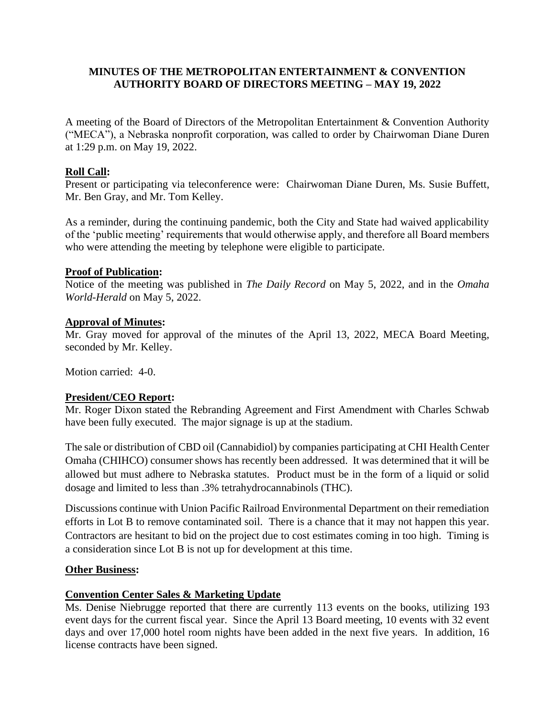### **MINUTES OF THE METROPOLITAN ENTERTAINMENT & CONVENTION AUTHORITY BOARD OF DIRECTORS MEETING – MAY 19, 2022**

A meeting of the Board of Directors of the Metropolitan Entertainment & Convention Authority ("MECA"), a Nebraska nonprofit corporation, was called to order by Chairwoman Diane Duren at 1:29 p.m. on May 19, 2022.

# **Roll Call:**

Present or participating via teleconference were: Chairwoman Diane Duren, Ms. Susie Buffett, Mr. Ben Gray, and Mr. Tom Kelley.

As a reminder, during the continuing pandemic, both the City and State had waived applicability of the 'public meeting' requirements that would otherwise apply, and therefore all Board members who were attending the meeting by telephone were eligible to participate.

### **Proof of Publication:**

Notice of the meeting was published in *The Daily Record* on May 5, 2022, and in the *Omaha World-Herald* on May 5, 2022.

### **Approval of Minutes:**

Mr. Gray moved for approval of the minutes of the April 13, 2022, MECA Board Meeting, seconded by Mr. Kelley.

Motion carried: 4-0.

### **President/CEO Report:**

Mr. Roger Dixon stated the Rebranding Agreement and First Amendment with Charles Schwab have been fully executed. The major signage is up at the stadium.

The sale or distribution of CBD oil (Cannabidiol) by companies participating at CHI Health Center Omaha (CHIHCO) consumer shows has recently been addressed. It was determined that it will be allowed but must adhere to Nebraska statutes. Product must be in the form of a liquid or solid dosage and limited to less than .3% tetrahydrocannabinols (THC).

Discussions continue with Union Pacific Railroad Environmental Department on their remediation efforts in Lot B to remove contaminated soil. There is a chance that it may not happen this year. Contractors are hesitant to bid on the project due to cost estimates coming in too high. Timing is a consideration since Lot B is not up for development at this time.

### **Other Business:**

# **Convention Center Sales & Marketing Update**

Ms. Denise Niebrugge reported that there are currently 113 events on the books, utilizing 193 event days for the current fiscal year. Since the April 13 Board meeting, 10 events with 32 event days and over 17,000 hotel room nights have been added in the next five years. In addition, 16 license contracts have been signed.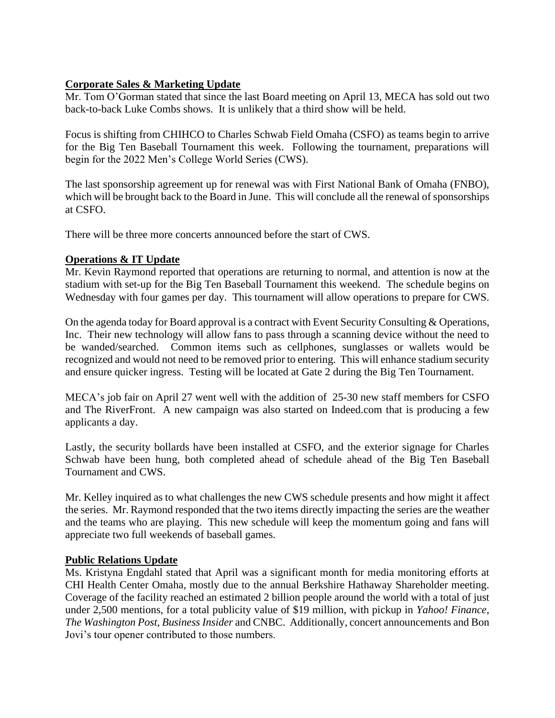# **Corporate Sales & Marketing Update**

Mr. Tom O'Gorman stated that since the last Board meeting on April 13, MECA has sold out two back-to-back Luke Combs shows. It is unlikely that a third show will be held.

Focus is shifting from CHIHCO to Charles Schwab Field Omaha (CSFO) as teams begin to arrive for the Big Ten Baseball Tournament this week. Following the tournament, preparations will begin for the 2022 Men's College World Series (CWS).

The last sponsorship agreement up for renewal was with First National Bank of Omaha (FNBO), which will be brought back to the Board in June. This will conclude all the renewal of sponsorships at CSFO.

There will be three more concerts announced before the start of CWS.

# **Operations & IT Update**

Mr. Kevin Raymond reported that operations are returning to normal, and attention is now at the stadium with set-up for the Big Ten Baseball Tournament this weekend. The schedule begins on Wednesday with four games per day. This tournament will allow operations to prepare for CWS.

On the agenda today for Board approval is a contract with Event Security Consulting & Operations, Inc. Their new technology will allow fans to pass through a scanning device without the need to be wanded/searched. Common items such as cellphones, sunglasses or wallets would be recognized and would not need to be removed prior to entering. This will enhance stadium security and ensure quicker ingress. Testing will be located at Gate 2 during the Big Ten Tournament.

MECA's job fair on April 27 went well with the addition of 25-30 new staff members for CSFO and The RiverFront. A new campaign was also started on Indeed.com that is producing a few applicants a day.

Lastly, the security bollards have been installed at CSFO, and the exterior signage for Charles Schwab have been hung, both completed ahead of schedule ahead of the Big Ten Baseball Tournament and CWS.

Mr. Kelley inquired as to what challenges the new CWS schedule presents and how might it affect the series. Mr. Raymond responded that the two items directly impacting the series are the weather and the teams who are playing. This new schedule will keep the momentum going and fans will appreciate two full weekends of baseball games.

# **Public Relations Update**

Ms. Kristyna Engdahl stated that April was a significant month for media monitoring efforts at CHI Health Center Omaha, mostly due to the annual Berkshire Hathaway Shareholder meeting. Coverage of the facility reached an estimated 2 billion people around the world with a total of just under 2,500 mentions, for a total publicity value of \$19 million, with pickup in *Yahoo! Finance*, *The Washington Post*, *Business Insider* and CNBC. Additionally, concert announcements and Bon Jovi's tour opener contributed to those numbers.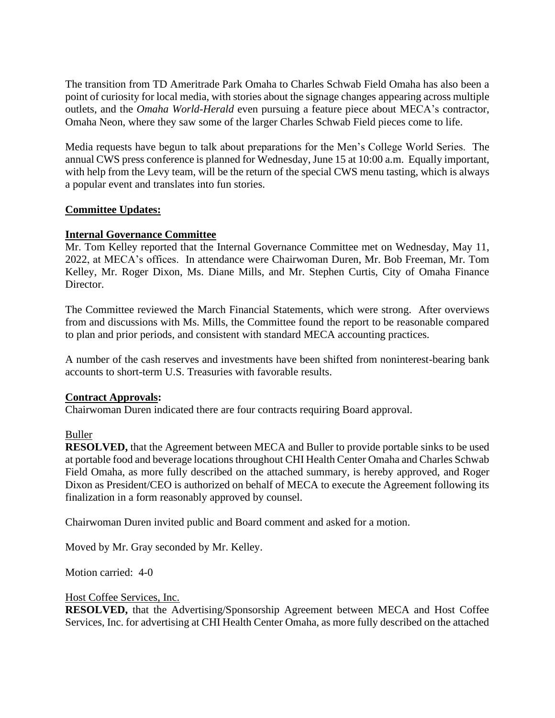The transition from TD Ameritrade Park Omaha to Charles Schwab Field Omaha has also been a point of curiosity for local media, with stories about the signage changes appearing across multiple outlets, and the *Omaha World-Herald* even pursuing a feature piece about MECA's contractor, Omaha Neon, where they saw some of the larger Charles Schwab Field pieces come to life.

Media requests have begun to talk about preparations for the Men's College World Series. The annual CWS press conference is planned for Wednesday, June 15 at 10:00 a.m. Equally important, with help from the Levy team, will be the return of the special CWS menu tasting, which is always a popular event and translates into fun stories.

# **Committee Updates:**

### **Internal Governance Committee**

Mr. Tom Kelley reported that the Internal Governance Committee met on Wednesday, May 11, 2022, at MECA's offices. In attendance were Chairwoman Duren, Mr. Bob Freeman, Mr. Tom Kelley, Mr. Roger Dixon, Ms. Diane Mills, and Mr. Stephen Curtis, City of Omaha Finance Director.

The Committee reviewed the March Financial Statements, which were strong. After overviews from and discussions with Ms. Mills, the Committee found the report to be reasonable compared to plan and prior periods, and consistent with standard MECA accounting practices.

A number of the cash reserves and investments have been shifted from noninterest-bearing bank accounts to short-term U.S. Treasuries with favorable results.

### **Contract Approvals:**

Chairwoman Duren indicated there are four contracts requiring Board approval.

### Buller

**RESOLVED,** that the Agreement between MECA and Buller to provide portable sinks to be used at portable food and beverage locations throughout CHI Health Center Omaha and Charles Schwab Field Omaha, as more fully described on the attached summary, is hereby approved, and Roger Dixon as President/CEO is authorized on behalf of MECA to execute the Agreement following its finalization in a form reasonably approved by counsel.

Chairwoman Duren invited public and Board comment and asked for a motion.

Moved by Mr. Gray seconded by Mr. Kelley.

Motion carried: 4-0

#### Host Coffee Services, Inc.

**RESOLVED,** that the Advertising/Sponsorship Agreement between MECA and Host Coffee Services, Inc. for advertising at CHI Health Center Omaha, as more fully described on the attached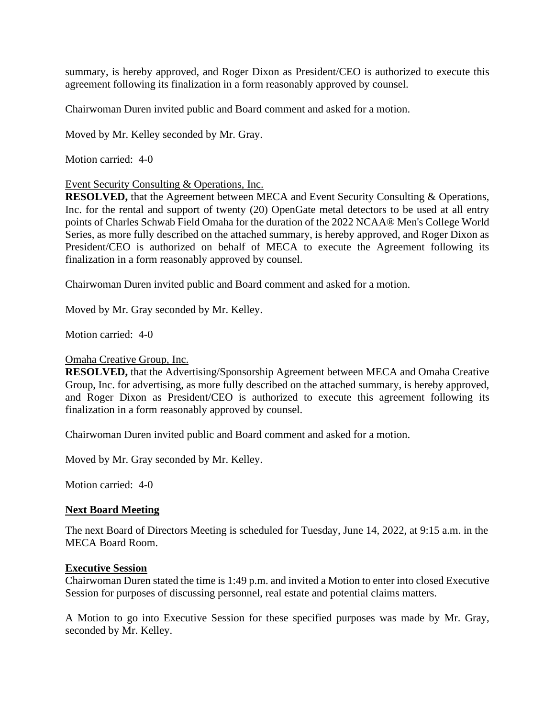summary, is hereby approved, and Roger Dixon as President/CEO is authorized to execute this agreement following its finalization in a form reasonably approved by counsel.

Chairwoman Duren invited public and Board comment and asked for a motion.

Moved by Mr. Kelley seconded by Mr. Gray.

Motion carried: 4-0

### Event Security Consulting & Operations, Inc.

**RESOLVED,** that the Agreement between MECA and Event Security Consulting & Operations, Inc. for the rental and support of twenty (20) OpenGate metal detectors to be used at all entry points of Charles Schwab Field Omaha for the duration of the 2022 NCAA® Men's College World Series, as more fully described on the attached summary, is hereby approved, and Roger Dixon as President/CEO is authorized on behalf of MECA to execute the Agreement following its finalization in a form reasonably approved by counsel.

Chairwoman Duren invited public and Board comment and asked for a motion.

Moved by Mr. Gray seconded by Mr. Kelley.

Motion carried: 4-0

#### Omaha Creative Group, Inc.

**RESOLVED,** that the Advertising/Sponsorship Agreement between MECA and Omaha Creative Group, Inc. for advertising, as more fully described on the attached summary, is hereby approved, and Roger Dixon as President/CEO is authorized to execute this agreement following its finalization in a form reasonably approved by counsel.

Chairwoman Duren invited public and Board comment and asked for a motion.

Moved by Mr. Gray seconded by Mr. Kelley.

Motion carried: 4-0

### **Next Board Meeting**

The next Board of Directors Meeting is scheduled for Tuesday, June 14, 2022, at 9:15 a.m. in the MECA Board Room.

#### **Executive Session**

Chairwoman Duren stated the time is 1:49 p.m. and invited a Motion to enter into closed Executive Session for purposes of discussing personnel, real estate and potential claims matters.

A Motion to go into Executive Session for these specified purposes was made by Mr. Gray, seconded by Mr. Kelley.